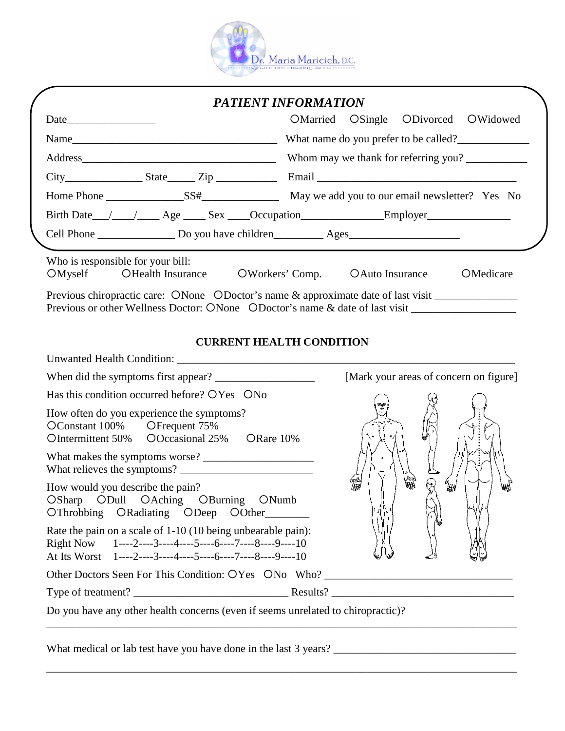

|      |                                   | <b>PATIENT INFORMATION</b>                                                                                                                                                                                                       |
|------|-----------------------------------|----------------------------------------------------------------------------------------------------------------------------------------------------------------------------------------------------------------------------------|
|      |                                   | OMarried OSingle ODivorced OWidowed                                                                                                                                                                                              |
| Name |                                   | What name do you prefer to be called?                                                                                                                                                                                            |
|      |                                   | Whom may we thank for referring you?                                                                                                                                                                                             |
|      |                                   | $City$ Email Email 2ip Email 2.1. Email 2.1. Email 2.1. Email 2.1. Email 2.1. Email 2.1. Email 2.1. Email 2.1. Email 2.1. Email 2.1. Email 2.1. Email 2.1. Email 2.1. Email 2.1. Email 2.1. Email 2.1. Email 2.1. Email 2.1. Ema |
|      |                                   |                                                                                                                                                                                                                                  |
|      |                                   | Birth Date / / / Age Sex Cocupation Employer                                                                                                                                                                                     |
|      |                                   |                                                                                                                                                                                                                                  |
|      |                                   |                                                                                                                                                                                                                                  |
|      | Who is responsible for your bill: |                                                                                                                                                                                                                                  |

## **CURRENT HEALTH CONDITION**

| When did the symptoms first appear?                                                                                                                                                  | [Mark your areas of concern on figure] |
|--------------------------------------------------------------------------------------------------------------------------------------------------------------------------------------|----------------------------------------|
| Has this condition occurred before? OYes ONo                                                                                                                                         |                                        |
| How often do you experience the symptoms?<br>OConstant 100% OFrequent 75%<br>OIntermittent 50% OOccasional 25% ORare 10%                                                             |                                        |
| What makes the symptoms worse?                                                                                                                                                       |                                        |
| How would you describe the pain?<br>OSharp ODull OAching OBurning ONumb<br>OThrobbing ORadiating ODeep OOther                                                                        | 篇<br>l₩                                |
| Rate the pain on a scale of 1-10 (10 being unbearable pain):<br>Right Now $1^{---2---3---4---5---6---7---8---9---10$<br>At Its Worst 1----2----3----4----5----6----7----8----9----10 |                                        |
| Other Doctors Seen For This Condition: OYes ONo Who?                                                                                                                                 |                                        |
|                                                                                                                                                                                      |                                        |
| Do you have any other health concerns (even if seems unrelated to chiropractic)?                                                                                                     |                                        |
|                                                                                                                                                                                      |                                        |

\_\_\_\_\_\_\_\_\_\_\_\_\_\_\_\_\_\_\_\_\_\_\_\_\_\_\_\_\_\_\_\_\_\_\_\_\_\_\_\_\_\_\_\_\_\_\_\_\_\_\_\_\_\_\_\_\_\_\_\_\_\_\_\_\_\_\_\_\_\_\_\_\_\_\_\_\_\_\_\_\_\_\_\_\_

What medical or lab test have you have done in the last 3 years? \_\_\_\_\_\_\_\_\_\_\_\_\_\_\_\_\_\_\_\_\_\_\_\_\_\_\_\_\_\_\_\_\_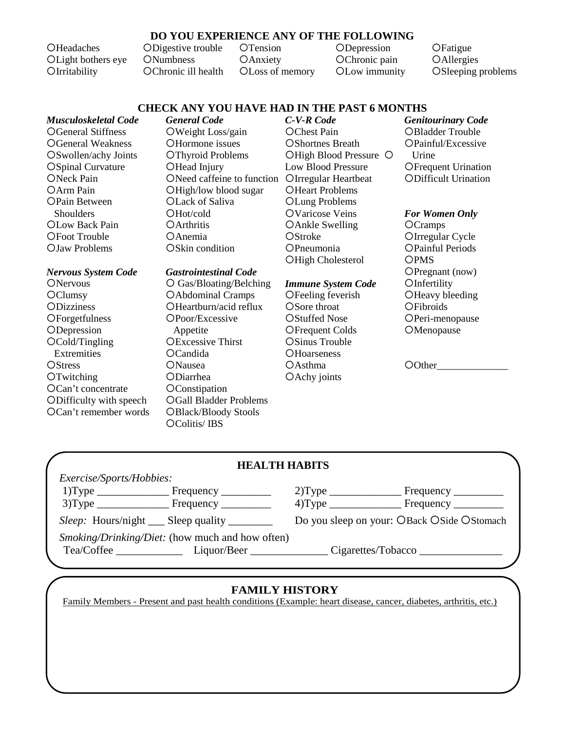### **DO YOU EXPERIENCE ANY OF THE FOLLOWING**

OHeadaches Light bothers eye OIrritability

Digestive trouble **ONumbness** Chronic ill health OTension **OAnxiety** Loss of memory **ODepression** OChronic pain Low immunity

**OFatigue OAllergies** OSleeping problems

#### **CHECK ANY YOU HAVE HAD IN THE PAST 6 MONTHS**

*Musculoskeletal Code* General Stiffness General Weakness Swollen/achy Joints OSpinal Curvature ONeck Pain OArm Pain OPain Between **Shoulders** OLow Back Pain Foot Trouble Jaw Problems

*Nervous System Code* **ONervous OClumsy ODizziness OF**orgetfulness **ODepression** Cold/Tingling Extremities **OStress OTwitching** Can't concentrate Difficulty with speech Can't remember words *General Code* Weight Loss/gain OHormone issues OThyroid Problems OHead Injury ONeed caffeine to function OIrregular Heartbeat OHigh/low blood sugar Lack of Saliva Hot/cold **OArthritis**  $O$ Anemia OSkin condition

# *Gastrointestinal Code*

 Gas/Bloating/Belching Abdominal Cramps OHeartburn/acid reflux OPoor/Excessive Appetite **OExcessive Thirst** Candida **ONausea** Diarrhea **OC**onstipation Gall Bladder Problems OBlack/Bloody Stools Colitis/ IBS

*C-V-R Code* OChest Pain **OShortnes Breath** OHigh Blood Pressure O Low Blood Pressure **OHeart Problems** Lung Problems Varicose Veins OAnkle Swelling OStroke **OPneumonia** OHigh Cholesterol

#### *Immune System Code*

OFeeling feverish OSore throat OStuffed Nose Frequent Colds OSinus Trouble **OHoarseness OAsthma** OAchy joints

#### *Genitourinary Code* OBladder Trouble Painful/Excessive **Urine OFrequent Urination** Difficult Urination

#### *For Women Only*

**OCramps** OIrregular Cycle Painful Periods **OPMS** OPregnant (now) **OInfertility** OHeavy bleeding **OFibroids** OPeri-menopause **OMenopause** 

O0ther

#### **HEALTH HABITS**

| Frequency __________                       |
|--------------------------------------------|
|                                            |
| Do you sleep on your: OBack OSide OStomach |
| Cigarettes/Tobacco                         |
|                                            |

#### **FAMILY HISTORY**

Family Members - Present and past health conditions (Example: heart disease, cancer, diabetes, arthritis, etc.)